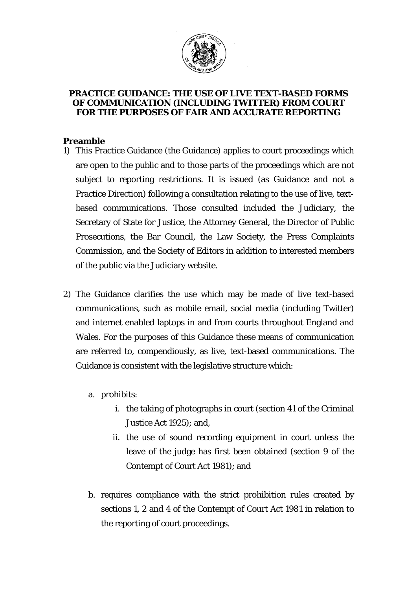

## **PRACTICE GUIDANCE: THE USE OF LIVE TEXT-BASED FORMS OF COMMUNICATION (INCLUDING** *TWITTER***) FROM COURT FOR THE PURPOSES OF FAIR AND ACCURATE REPORTING**

## **Preamble**

- 1) This Practice Guidance (the Guidance) applies to court proceedings which are open to the public and to those parts of the proceedings which are not subject to reporting restrictions. It is issued (as Guidance and not a Practice Direction) following a consultation relating to the use of live, textbased communications. Those consulted included the Judiciary, the Secretary of State for Justice, the Attorney General, the Director of Public Prosecutions, the Bar Council, the Law Society, the Press Complaints Commission, and the Society of Editors in addition to interested members of the public via the Judiciary website.
- 2) The Guidance clarifies the use which may be made of live text-based communications, such as mobile email, social media (including Twitter) and internet enabled laptops in and from courts throughout England and Wales. For the purposes of this Guidance these means of communication are referred to, compendiously, as live, text-based communications. The Guidance is consistent with the legislative structure which:
	- a. prohibits:
		- i. the taking of photographs in court (section 41 of the Criminal Justice Act 1925); and,
		- ii. the use of sound recording equipment in court unless the leave of the judge has first been obtained (section 9 of the Contempt of Court Act 1981); and
	- b. requires compliance with the strict prohibition rules created by sections 1, 2 and 4 of the Contempt of Court Act 1981 in relation to the reporting of court proceedings.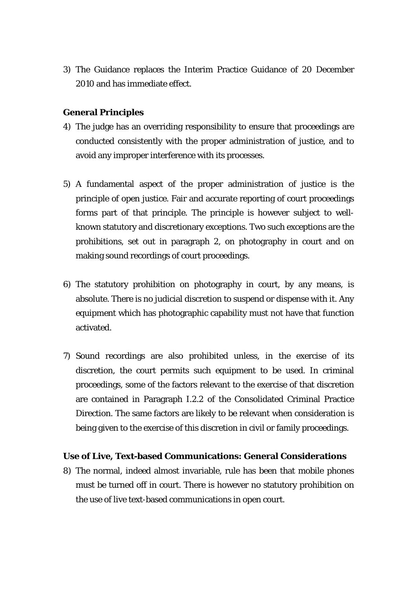3) The Guidance replaces the Interim Practice Guidance of 20 December 2010 and has immediate effect.

## **General Principles**

- 4) The judge has an overriding responsibility to ensure that proceedings are conducted consistently with the proper administration of justice, and to avoid any improper interference with its processes.
- 5) A fundamental aspect of the proper administration of justice is the principle of open justice. Fair and accurate reporting of court proceedings forms part of that principle. The principle is however subject to wellknown statutory and discretionary exceptions. Two such exceptions are the prohibitions, set out in paragraph 2, on photography in court and on making sound recordings of court proceedings.
- 6) The statutory prohibition on photography in court, by any means, is absolute. There is no judicial discretion to suspend or dispense with it. Any equipment which has photographic capability must not have that function activated.
- 7) Sound recordings are also prohibited unless, in the exercise of its discretion, the court permits such equipment to be used. In criminal proceedings, some of the factors relevant to the exercise of that discretion are contained in Paragraph I.2.2 of the Consolidated Criminal Practice Direction. The same factors are likely to be relevant when consideration is being given to the exercise of this discretion in civil or family proceedings.

## **Use of Live, Text-based Communications: General Considerations**

8) The normal, indeed almost invariable, rule has been that mobile phones must be turned off in court. There is however no statutory prohibition on the use of live text-based communications in open court.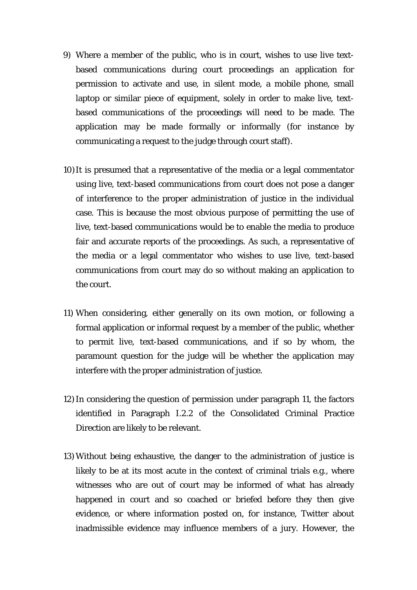- 9) Where a member of the public, who is in court, wishes to use live textbased communications during court proceedings an application for permission to activate and use, in silent mode, a mobile phone, small laptop or similar piece of equipment, solely in order to make live, textbased communications of the proceedings will need to be made. The application may be made formally or informally (for instance by communicating a request to the judge through court staff).
- 10)It is presumed that a representative of the media or a legal commentator using live, text-based communications from court does not pose a danger of interference to the proper administration of justice in the individual case. This is because the most obvious purpose of permitting the use of live, text-based communications would be to enable the media to produce fair and accurate reports of the proceedings. As such, a representative of the media or a legal commentator who wishes to use live, text-based communications from court may do so without making an application to the court.
- 11) When considering, either generally on its own motion, or following a formal application or informal request by a member of the public, whether to permit live, text-based communications, and if so by whom, the paramount question for the judge will be whether the application may interfere with the proper administration of justice.
- 12) In considering the question of permission under paragraph 11, the factors identified in Paragraph I.2.2 of the Consolidated Criminal Practice Direction are likely to be relevant.
- 13) Without being exhaustive, the danger to the administration of justice is likely to be at its most acute in the context of criminal trials e.g., where witnesses who are out of court may be informed of what has already happened in court and so coached or briefed before they then give evidence, or where information posted on, for instance, Twitter about inadmissible evidence may influence members of a jury. However, the